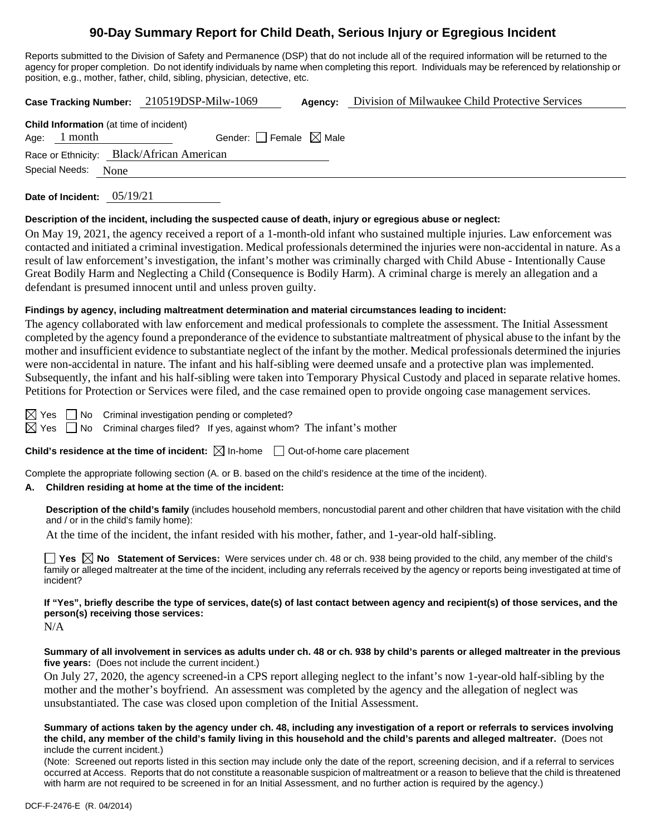# **90-Day Summary Report for Child Death, Serious Injury or Egregious Incident**

Reports submitted to the Division of Safety and Permanence (DSP) that do not include all of the required information will be returned to the agency for proper completion. Do not identify individuals by name when completing this report. Individuals may be referenced by relationship or position, e.g., mother, father, child, sibling, physician, detective, etc.

**Case Tracking Number:** 210519DSP-Milw-1069 **Agency:** Division of Milwaukee Child Protective Services

| <b>Child Information</b> (at time of incident) |                                        |  |  |  |
|------------------------------------------------|----------------------------------------|--|--|--|
| Age: $1$ month                                 | Gender: $\Box$ Female $\boxtimes$ Male |  |  |  |
| Race or Ethnicity: Black/African American      |                                        |  |  |  |
| Special Needs:                                 | None                                   |  |  |  |

**Date of Incident:** 05/19/21

#### **Description of the incident, including the suspected cause of death, injury or egregious abuse or neglect:**

On May 19, 2021, the agency received a report of a 1-month-old infant who sustained multiple injuries. Law enforcement was contacted and initiated a criminal investigation. Medical professionals determined the injuries were non-accidental in nature. As a result of law enforcement's investigation, the infant's mother was criminally charged with Child Abuse - Intentionally Cause Great Bodily Harm and Neglecting a Child (Consequence is Bodily Harm). A criminal charge is merely an allegation and a defendant is presumed innocent until and unless proven guilty.

#### **Findings by agency, including maltreatment determination and material circumstances leading to incident:**

The agency collaborated with law enforcement and medical professionals to complete the assessment. The Initial Assessment completed by the agency found a preponderance of the evidence to substantiate maltreatment of physical abuse to the infant by the mother and insufficient evidence to substantiate neglect of the infant by the mother. Medical professionals determined the injuries were non-accidental in nature. The infant and his half-sibling were deemed unsafe and a protective plan was implemented. Subsequently, the infant and his half-sibling were taken into Temporary Physical Custody and placed in separate relative homes. Petitions for Protection or Services were filed, and the case remained open to provide ongoing case management services.

 $\boxtimes$  Yes  $\Box$  No Criminal investigation pending or completed?

 $\boxtimes$  Yes  $\Box$  No Criminal charges filed? If yes, against whom? The infant's mother

#### **Child's residence at the time of incident:**  $\boxtimes$  In-home  $\Box$  Out-of-home care placement

Complete the appropriate following section (A. or B. based on the child's residence at the time of the incident).

#### **A. Children residing at home at the time of the incident:**

**Description of the child's family** (includes household members, noncustodial parent and other children that have visitation with the child and / or in the child's family home):

At the time of the incident, the infant resided with his mother, father, and 1-year-old half-sibling.

■ Yes △ No Statement of Services: Were services under ch. 48 or ch. 938 being provided to the child, any member of the child's family or alleged maltreater at the time of the incident, including any referrals received by the agency or reports being investigated at time of incident?

**If "Yes", briefly describe the type of services, date(s) of last contact between agency and recipient(s) of those services, and the person(s) receiving those services:**

N/A

#### **Summary of all involvement in services as adults under ch. 48 or ch. 938 by child's parents or alleged maltreater in the previous five years:** (Does not include the current incident.)

On July 27, 2020, the agency screened-in a CPS report alleging neglect to the infant's now 1-year-old half-sibling by the mother and the mother's boyfriend. An assessment was completed by the agency and the allegation of neglect was unsubstantiated. The case was closed upon completion of the Initial Assessment.

**Summary of actions taken by the agency under ch. 48, including any investigation of a report or referrals to services involving the child, any member of the child's family living in this household and the child's parents and alleged maltreater.** (Does not include the current incident.)

(Note: Screened out reports listed in this section may include only the date of the report, screening decision, and if a referral to services occurred at Access. Reports that do not constitute a reasonable suspicion of maltreatment or a reason to believe that the child is threatened with harm are not required to be screened in for an Initial Assessment, and no further action is required by the agency.)